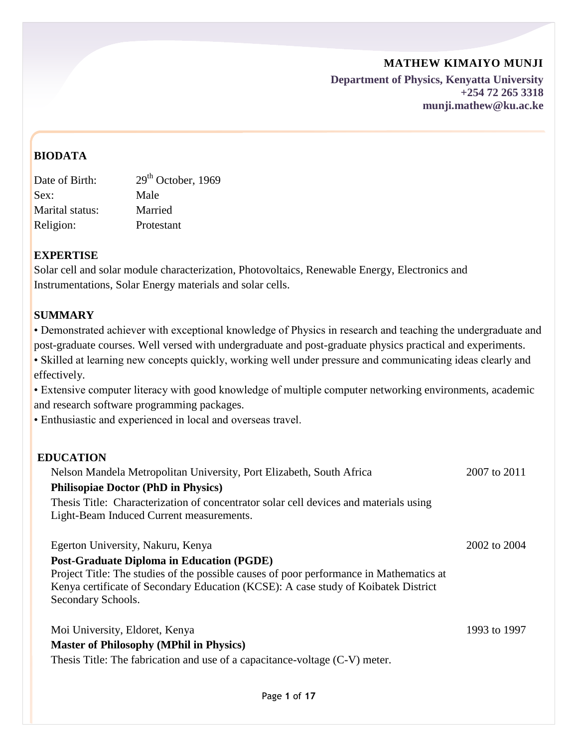**Department of Physics, Kenyatta University +254 72 265 3318 munji.mathew@ku.ac.ke**

# **BIODATA**

| $29th$ October, 1969 |
|----------------------|
| Male                 |
| Married              |
| Protestant           |
|                      |

# **EXPERTISE**

Solar cell and solar module characterization, Photovoltaics, Renewable Energy, Electronics and Instrumentations, Solar Energy materials and solar cells.

# **SUMMARY**

• Demonstrated achiever with exceptional knowledge of Physics in research and teaching the undergraduate and post-graduate courses. Well versed with undergraduate and post-graduate physics practical and experiments.

• Skilled at learning new concepts quickly, working well under pressure and communicating ideas clearly and effectively.

• Extensive computer literacy with good knowledge of multiple computer networking environments, academic and research software programming packages.

• Enthusiastic and experienced in local and overseas travel.

## **EDUCATION**

Nelson Mandela Metropolitan University, Port Elizabeth, South Africa 2007 to 2011 **Philisopiae Doctor (PhD in Physics)** Thesis Title: Characterization of concentrator solar cell devices and materials using Light-Beam Induced Current measurements. Egerton University, Nakuru, Kenya 2002 to 2004 **Post-Graduate Diploma in Education (PGDE)** Project Title: The studies of the possible causes of poor performance in Mathematics at Kenya certificate of Secondary Education (KCSE): A case study of Koibatek District Secondary Schools.

Moi University, Eldoret, Kenya 1993 to 1997 **Master of Philosophy (MPhil in Physics)**

Thesis Title: The fabrication and use of a capacitance-voltage (C-V) meter.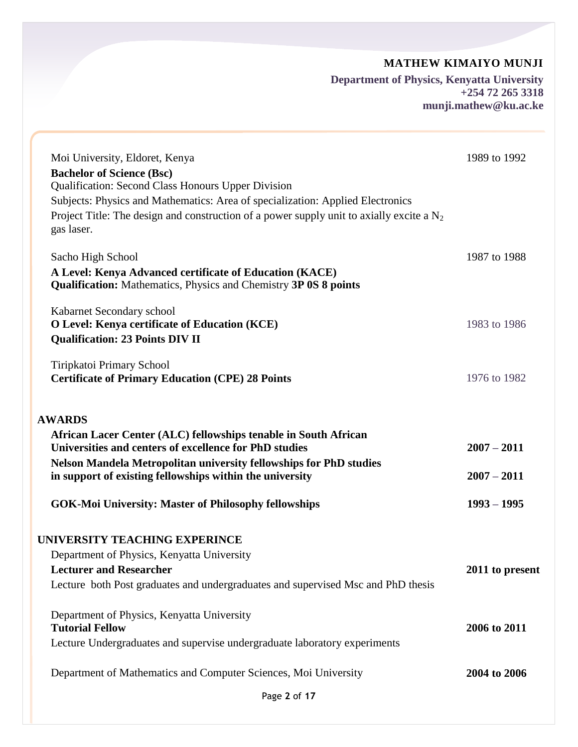**Department of Physics, Kenyatta University +254 72 265 3318 munji.mathew@ku.ac.ke**

| Moi University, Eldoret, Kenya                                                                                              | 1989 to 1992    |
|-----------------------------------------------------------------------------------------------------------------------------|-----------------|
| <b>Bachelor of Science (Bsc)</b>                                                                                            |                 |
| <b>Qualification: Second Class Honours Upper Division</b>                                                                   |                 |
| Subjects: Physics and Mathematics: Area of specialization: Applied Electronics                                              |                 |
| Project Title: The design and construction of a power supply unit to axially excite a $N_2$<br>gas laser.                   |                 |
| Sacho High School                                                                                                           | 1987 to 1988    |
| A Level: Kenya Advanced certificate of Education (KACE)<br>Qualification: Mathematics, Physics and Chemistry 3P 0S 8 points |                 |
| Kabarnet Secondary school                                                                                                   |                 |
| O Level: Kenya certificate of Education (KCE)                                                                               | 1983 to 1986    |
| <b>Qualification: 23 Points DIV II</b>                                                                                      |                 |
| Tiripkatoi Primary School                                                                                                   |                 |
| <b>Certificate of Primary Education (CPE) 28 Points</b>                                                                     | 1976 to 1982    |
| <b>AWARDS</b>                                                                                                               |                 |
| African Lacer Center (ALC) fellowships tenable in South African                                                             |                 |
| Universities and centers of excellence for PhD studies                                                                      | $2007 - 2011$   |
| Nelson Mandela Metropolitan university fellowships for PhD studies                                                          |                 |
| in support of existing fellowships within the university                                                                    | $2007 - 2011$   |
| <b>GOK-Moi University: Master of Philosophy fellowships</b>                                                                 | $1993 - 1995$   |
| UNIVERSITY TEACHING EXPERINCE                                                                                               |                 |
| Department of Physics, Kenyatta University                                                                                  |                 |
| <b>Lecturer and Researcher</b>                                                                                              | 2011 to present |
| Lecture both Post graduates and undergraduates and supervised Msc and PhD thesis                                            |                 |
| Department of Physics, Kenyatta University                                                                                  |                 |
| <b>Tutorial Fellow</b>                                                                                                      | 2006 to 2011    |
| Lecture Undergraduates and supervise undergraduate laboratory experiments                                                   |                 |
| Department of Mathematics and Computer Sciences, Moi University                                                             | 2004 to 2006    |
| Page 2 of 17                                                                                                                |                 |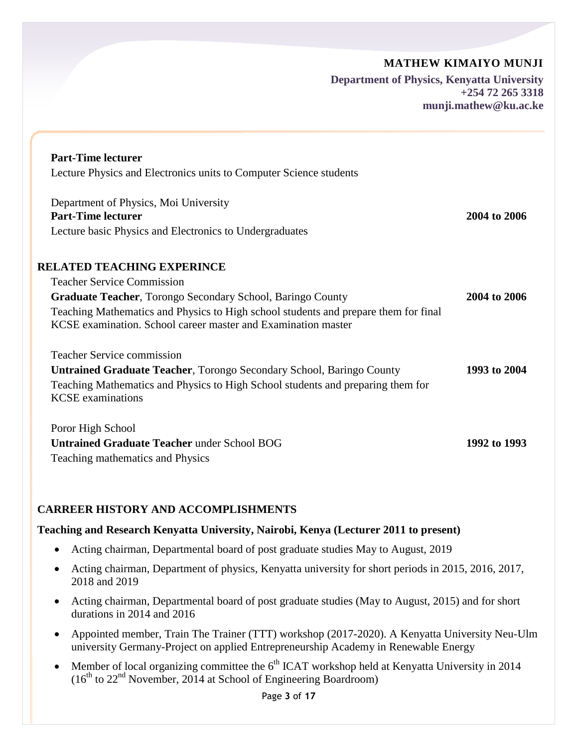**Department of Physics, Kenyatta University +254 72 265 3318 munji.mathew@ku.ac.ke**

| <b>Part-Time lecturer</b><br>Lecture Physics and Electronics units to Computer Science students                                                      |              |
|------------------------------------------------------------------------------------------------------------------------------------------------------|--------------|
|                                                                                                                                                      |              |
| Department of Physics, Moi University<br><b>Part-Time lecturer</b>                                                                                   | 2004 to 2006 |
| Lecture basic Physics and Electronics to Undergraduates                                                                                              |              |
| <b>RELATED TEACHING EXPERINCE</b>                                                                                                                    |              |
| <b>Teacher Service Commission</b>                                                                                                                    |              |
| <b>Graduate Teacher, Torongo Secondary School, Baringo County</b>                                                                                    | 2004 to 2006 |
| Teaching Mathematics and Physics to High school students and prepare them for final<br>KCSE examination. School career master and Examination master |              |
| <b>Teacher Service commission</b>                                                                                                                    |              |
| <b>Untrained Graduate Teacher, Torongo Secondary School, Baringo County</b>                                                                          | 1993 to 2004 |
| Teaching Mathematics and Physics to High School students and preparing them for<br><b>KCSE</b> examinations                                          |              |
| Poror High School                                                                                                                                    |              |
| <b>Untrained Graduate Teacher under School BOG</b>                                                                                                   | 1992 to 1993 |
| Teaching mathematics and Physics                                                                                                                     |              |

## **CARREER HISTORY AND ACCOMPLISHMENTS**

#### **Teaching and Research Kenyatta University, Nairobi, Kenya (Lecturer 2011 to present)**

- Acting chairman, Departmental board of post graduate studies May to August, 2019
- Acting chairman, Department of physics, Kenyatta university for short periods in 2015, 2016, 2017, 2018 and 2019
- Acting chairman, Departmental board of post graduate studies (May to August, 2015) and for short durations in 2014 and 2016
- Appointed member, Train The Trainer (TTT) workshop (2017-2020). A Kenyatta University Neu-Ulm university Germany-Project on applied Entrepreneurship Academy in Renewable Energy
- Member of local organizing committee the  $6<sup>th</sup>$  ICAT workshop held at Kenyatta University in 2014 ( $16<sup>th</sup>$  to  $22<sup>nd</sup>$  November, 2014 at School of Engineering Boardroom)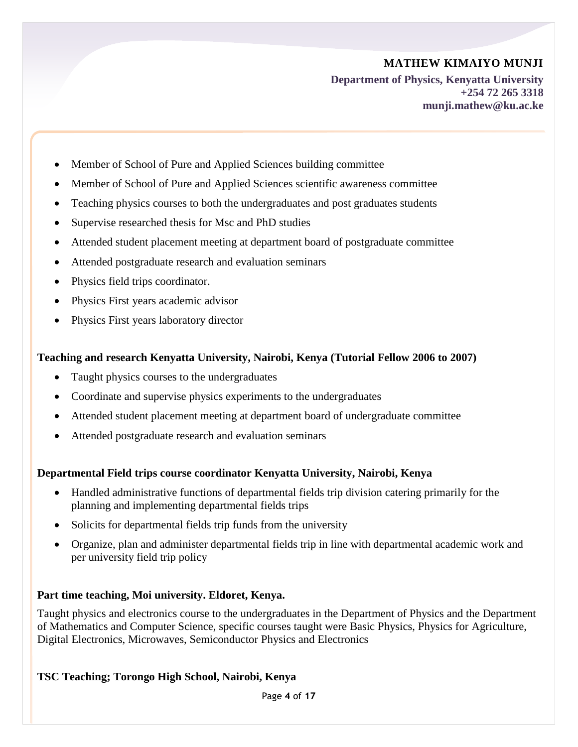**Department of Physics, Kenyatta University +254 72 265 3318 munji.mathew@ku.ac.ke**

- Member of School of Pure and Applied Sciences building committee
- Member of School of Pure and Applied Sciences scientific awareness committee
- Teaching physics courses to both the undergraduates and post graduates students
- Supervise researched thesis for Msc and PhD studies
- Attended student placement meeting at department board of postgraduate committee
- Attended postgraduate research and evaluation seminars
- Physics field trips coordinator.
- Physics First years academic advisor
- Physics First years laboratory director

#### **Teaching and research Kenyatta University, Nairobi, Kenya (Tutorial Fellow 2006 to 2007)**

- Taught physics courses to the undergraduates
- Coordinate and supervise physics experiments to the undergraduates
- Attended student placement meeting at department board of undergraduate committee
- Attended postgraduate research and evaluation seminars

## **Departmental Field trips course coordinator Kenyatta University, Nairobi, Kenya**

- Handled administrative functions of departmental fields trip division catering primarily for the planning and implementing departmental fields trips
- Solicits for departmental fields trip funds from the university
- Organize, plan and administer departmental fields trip in line with departmental academic work and per university field trip policy

## **Part time teaching, Moi university. Eldoret, Kenya.**

Taught physics and electronics course to the undergraduates in the Department of Physics and the Department of Mathematics and Computer Science, specific courses taught were Basic Physics, Physics for Agriculture, Digital Electronics, Microwaves, Semiconductor Physics and Electronics

## **TSC Teaching; Torongo High School, Nairobi, Kenya**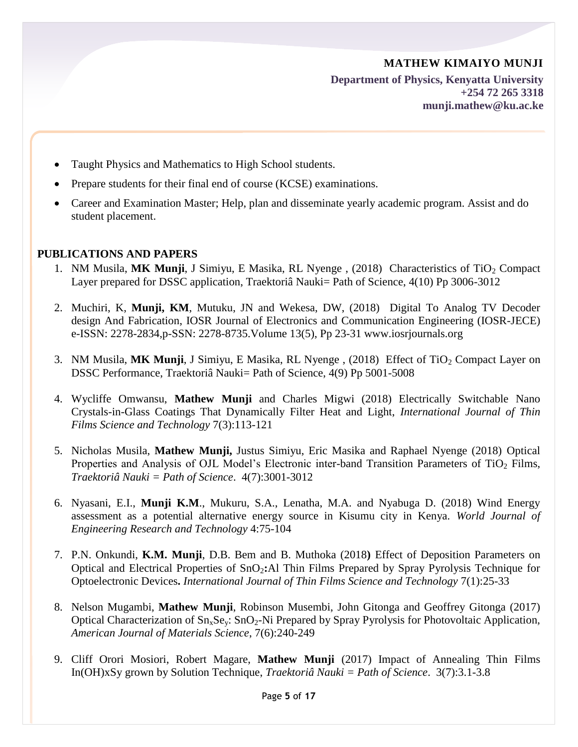**Department of Physics, Kenyatta University +254 72 265 3318 munji.mathew@ku.ac.ke**

- Taught Physics and Mathematics to High School students.
- Prepare students for their final end of course (KCSE) examinations.
- Career and Examination Master; Help, plan and disseminate yearly academic program. Assist and do student placement.

## **PUBLICATIONS AND PAPERS**

- 1. NM Musila, MK Munji, J Simiyu, E Masika, RL Nyenge, (2018) Characteristics of TiO<sub>2</sub> Compact Layer prepared for DSSC application, Traektoriâ Nauki= Path of Science, 4(10) Pp 3006-3012
- 2. Muchiri, K, **Munji, KM**, Mutuku, JN and Wekesa, DW, (2018) Digital To Analog TV Decoder design And Fabrication, IOSR Journal of Electronics and Communication Engineering (IOSR-JECE) e-ISSN: 2278-2834,p-SSN: 2278-8735.Volume 13(5), Pp 23-31 www.iosrjournals.org
- 3. NM Musila, MK Munji, J Simiyu, E Masika, RL Nyenge, (2018) Effect of TiO<sub>2</sub> Compact Layer on DSSC Performance, Traektoriâ Nauki= Path of Science, 4(9) Pp 5001-5008
- 4. Wycliffe Omwansu, **Mathew Munji** and Charles Migwi (2018) Electrically Switchable Nano Crystals-in-Glass Coatings That Dynamically Filter Heat and Light, *International Journal of Thin Films Science and Technology* 7(3):113-121
- 5. Nicholas Musila, **Mathew Munji,** Justus Simiyu, Eric Masika and Raphael Nyenge (2018) Optical Properties and Analysis of OJL Model's Electronic inter-band Transition Parameters of  $TiO<sub>2</sub>$  Films, *Traektoriâ Nauki = Path of Science*. 4(7):3001-3012
- 6. Nyasani, E.I., **Munji K.M**., Mukuru, S.A., Lenatha, M.A. and Nyabuga D. (2018) Wind Energy assessment as a potential alternative energy source in Kisumu city in Kenya. *World Journal of Engineering Research and Technology* 4:75-104
- 7. P.N. Onkundi, **K.M. Munji**, D.B. Bem and B. Muthoka (2018**)** Effect of Deposition Parameters on Optical and Electrical Properties of SnO<sub>2</sub>:Al Thin Films Prepared by Spray Pyrolysis Technique for Optoelectronic Devices**.** *International Journal of Thin Films Science and Technology* 7(1):25-33
- 8. Nelson Mugambi, **Mathew Munji**, Robinson Musembi, John Gitonga and Geoffrey Gitonga (2017) Optical Characterization of  $Sn_xSe_y$ :  $SnO_2-Ni$  Prepared by Spray Pyrolysis for Photovoltaic Application, *American Journal of Materials Science*, 7(6):240-249
- 9. Cliff Orori Mosiori, Robert Magare, **Mathew Munji** (2017) Impact of Annealing Thin Films In(OH)xSy grown by Solution Technique, *Traektoriâ Nauki = Path of Science*. 3(7):3.1-3.8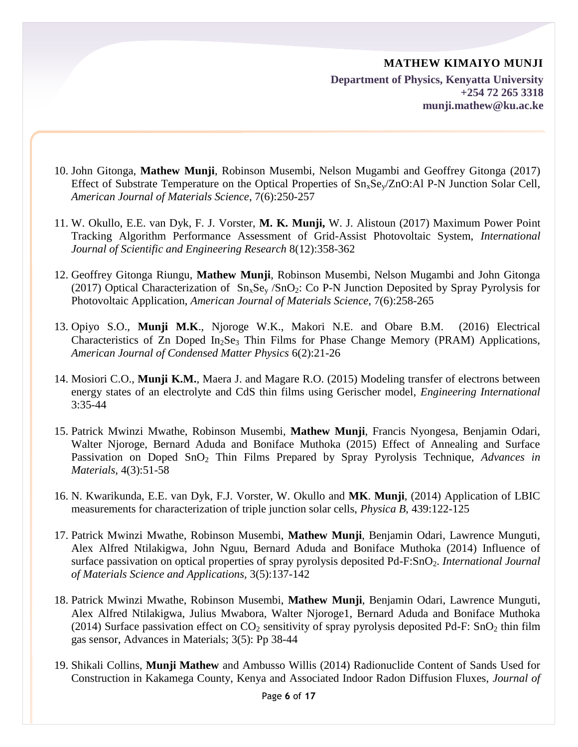**Department of Physics, Kenyatta University +254 72 265 3318 munji.mathew@ku.ac.ke**

- 10. John Gitonga, **Mathew Munji**, Robinson Musembi, Nelson Mugambi and Geoffrey Gitonga (2017) Effect of Substrate Temperature on the Optical Properties of  $Sn_xSe_v/ZnO:$  Al P-N Junction Solar Cell, *American Journal of Materials Science*, 7(6):250-257
- 11. W. Okullo, E.E. van Dyk, F. J. Vorster, **M. K. Munji,** W. J. Alistoun (2017) Maximum Power Point Tracking Algorithm Performance Assessment of Grid-Assist Photovoltaic System, *International Journal of Scientific and Engineering Research* 8(12):358-362
- 12. Geoffrey Gitonga Riungu, **Mathew Munji**, Robinson Musembi, Nelson Mugambi and John Gitonga (2017) Optical Characterization of  $Sn_xSe_y / SnO_2$ : Co P-N Junction Deposited by Spray Pyrolysis for Photovoltaic Application, *American Journal of Materials Science*, 7(6):258-265
- 13. Opiyo S.O., **Munji M.K**., Njoroge W.K., Makori N.E. and Obare B.M. (2016) Electrical Characteristics of Zn Doped In<sub>2</sub>Se<sub>3</sub> Thin Films for Phase Change Memory (PRAM) Applications, *American Journal of Condensed Matter Physics* 6(2):21-26
- 14. Mosiori C.O., **Munji K.M.**, Maera J. and Magare R.O. (2015) Modeling transfer of electrons between energy states of an electrolyte and CdS thin films using Gerischer model, *Engineering International* 3:35-44
- 15. Patrick Mwinzi Mwathe, Robinson Musembi, **Mathew Munji**, Francis Nyongesa, Benjamin Odari, Walter Njoroge, Bernard Aduda and Boniface Muthoka (2015) Effect of Annealing and Surface Passivation on Doped SnO<sub>2</sub> Thin Films Prepared by Spray Pyrolysis Technique, *Advances in Materials*, 4(3):51-58
- 16. N. Kwarikunda, E.E. van Dyk, F.J. Vorster, W. Okullo and **MK**. **Munji**, (2014) Application of LBIC measurements for characterization of triple junction solar cells, *Physica B*, 439:122-125
- 17. Patrick Mwinzi Mwathe, Robinson Musembi, **Mathew Munji**, Benjamin Odari, Lawrence Munguti, Alex Alfred Ntilakigwa, John Nguu, Bernard Aduda and Boniface Muthoka (2014) Influence of surface passivation on optical properties of spray pyrolysis deposited Pd-F:SnO<sub>2</sub>. *International Journal of Materials Science and Applications,* 3(5):137-142
- 18. Patrick Mwinzi Mwathe, Robinson Musembi, **Mathew Munji**, Benjamin Odari, Lawrence Munguti, Alex Alfred Ntilakigwa, Julius Mwabora, Walter Njoroge1, Bernard Aduda and Boniface Muthoka (2014) Surface passivation effect on  $CO_2$  sensitivity of spray pyrolysis deposited Pd-F: SnO<sub>2</sub> thin film gas sensor, Advances in Materials; 3(5): Pp 38-44
- 19. Shikali Collins, **Munji Mathew** and Ambusso Willis (2014) Radionuclide Content of Sands Used for Construction in Kakamega County, Kenya and Associated Indoor Radon Diffusion Fluxes, *Journal of*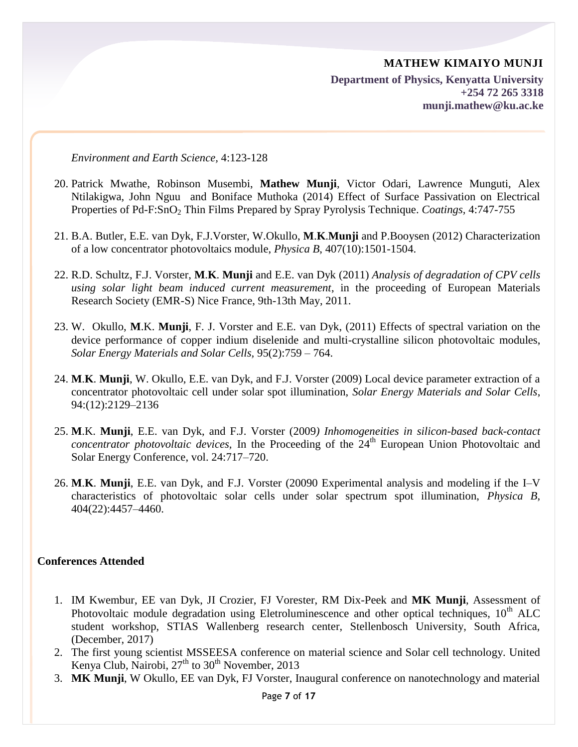*Environment and Earth Science,* 4:123-128

- 20. Patrick Mwathe, Robinson Musembi, **Mathew Munji**, Victor Odari, Lawrence Munguti, Alex Ntilakigwa, John Nguu and Boniface Muthoka (2014) Effect of Surface Passivation on Electrical Properties of Pd-F:SnO<sup>2</sup> Thin Films Prepared by Spray Pyrolysis Technique. *Coatings,* 4:747-755
- 21. B.A. Butler, E.E. van Dyk, F.J.Vorster, W.Okullo, **M**.**K**.**Munji** and P.Booysen (2012) Characterization of a low concentrator photovoltaics module, *Physica B*, 407(10):1501-1504.
- 22. R.D. Schultz, F.J. Vorster, **M**.**K**. **Munji** and E.E. van Dyk (2011) *Analysis of degradation of CPV cells using solar light beam induced current measurement*, in the proceeding of European Materials Research Society (EMR-S) Nice France, 9th-13th May, 2011.
- 23. W. Okullo, **M**.K. **Munji**, F. J. Vorster and E.E. van Dyk, (2011) Effects of spectral variation on the device performance of copper indium diselenide and multi-crystalline silicon photovoltaic modules, *Solar Energy Materials and Solar Cells,* 95(2):759 – 764.
- 24. **M**.**K**. **Munji**, W. Okullo, E.E. van Dyk, and F.J. Vorster (2009) Local device parameter extraction of a concentrator photovoltaic cell under solar spot illumination, *Solar Energy Materials and Solar Cells*, 94:(12):2129–2136
- 25. **M**.K. **Munji**, E.E. van Dyk, and F.J. Vorster (2009*) Inhomogeneities in silicon-based back-contact concentrator photovoltaic devices*, In the Proceeding of the 24<sup>th</sup> European Union Photovoltaic and Solar Energy Conference, vol. 24:717–720.
- 26. **M**.**K**. **Munji**, E.E. van Dyk, and F.J. Vorster (20090 Experimental analysis and modeling if the I–V characteristics of photovoltaic solar cells under solar spectrum spot illumination, *Physica B*, 404(22):4457–4460.

#### **Conferences Attended**

- 1. IM Kwembur, EE van Dyk, JI Crozier, FJ Vorester, RM Dix-Peek and **MK Munji**, Assessment of Photovoltaic module degradation using Eletroluminescence and other optical techniques,  $10<sup>th</sup>$  ALC student workshop, STIAS Wallenberg research center, Stellenbosch University, South Africa, (December, 2017)
- 2. The first young scientist MSSEESA conference on material science and Solar cell technology. United Kenya Club, Nairobi,  $27<sup>th</sup>$  to  $30<sup>th</sup>$  November, 2013
- 3. **MK Munji**, W Okullo, EE van Dyk, FJ Vorster, Inaugural conference on nanotechnology and material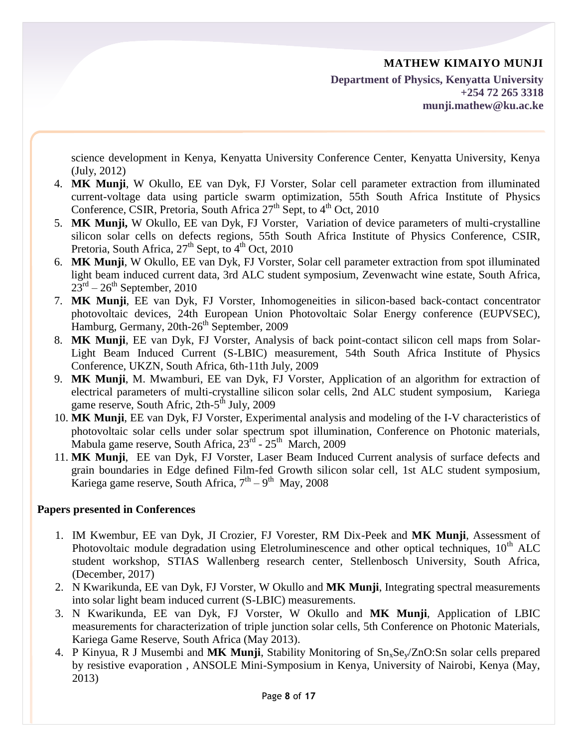science development in Kenya, Kenyatta University Conference Center, Kenyatta University, Kenya (July, 2012)

- 4. **MK Munji**, W Okullo, EE van Dyk, FJ Vorster, Solar cell parameter extraction from illuminated current-voltage data using particle swarm optimization, 55th South Africa Institute of Physics Conference, CSIR, Pretoria, South Africa  $27<sup>th</sup>$  Sept, to  $4<sup>th</sup>$  Oct, 2010
- 5. **MK Munji,** W Okullo, EE van Dyk, FJ Vorster, Variation of device parameters of multi-crystalline silicon solar cells on defects regions, 55th South Africa Institute of Physics Conference, CSIR, Pretoria, South Africa,  $27<sup>th</sup>$  Sept, to  $4<sup>th</sup>$  Oct, 2010
- 6. **MK Munji**, W Okullo, EE van Dyk, FJ Vorster, Solar cell parameter extraction from spot illuminated light beam induced current data, 3rd ALC student symposium, Zevenwacht wine estate, South Africa,  $23^{\text{rd}} - 26^{\text{th}}$  September, 2010
- 7. **MK Munji**, EE van Dyk, FJ Vorster, Inhomogeneities in silicon-based back-contact concentrator photovoltaic devices, 24th European Union Photovoltaic Solar Energy conference (EUPVSEC), 1<br>Hamburg, Germany, 20th-26<sup>th</sup> September, 2009
- 8. **MK Munji**, EE van Dyk, FJ Vorster, Analysis of back point-contact silicon cell maps from Solar-Light Beam Induced Current (S-LBIC) measurement, 54th South Africa Institute of Physics Conference, UKZN, South Africa, 6th-11th July, 2009
- 9. **MK Munji**, M. Mwamburi, EE van Dyk, FJ Vorster, Application of an algorithm for extraction of electrical parameters of multi-crystalline silicon solar cells, 2nd ALC student symposium, Kariega game reserve, South Afric, 2th-5<sup>th</sup> July, 2009
- 10. **MK Munji**, EE van Dyk, FJ Vorster, Experimental analysis and modeling of the I-V characteristics of photovoltaic solar cells under solar spectrum spot illumination, Conference on Photonic materials, Mabula game reserve, South Africa, 23<sup>rd</sup> - 25<sup>th</sup> March, 2009
- 11. **MK Munji**, EE van Dyk, FJ Vorster, Laser Beam Induced Current analysis of surface defects and grain boundaries in Edge defined Film-fed Growth silicon solar cell, 1st ALC student symposium, Kariega game reserve, South Africa,  $7<sup>th</sup> - 9<sup>th</sup>$  May, 2008

## **Papers presented in Conferences**

- 1. IM Kwembur, EE van Dyk, JI Crozier, FJ Vorester, RM Dix-Peek and **MK Munji**, Assessment of Photovoltaic module degradation using Eletroluminescence and other optical techniques,  $10<sup>th</sup> ALC$ student workshop, STIAS Wallenberg research center, Stellenbosch University, South Africa, (December, 2017)
- 2. N Kwarikunda, EE van Dyk, FJ Vorster, W Okullo and **MK Munji**, Integrating spectral measurements into solar light beam induced current (S-LBIC) measurements.
- 3. N Kwarikunda, EE van Dyk, FJ Vorster, W Okullo and **MK Munji**, Application of LBIC measurements for characterization of triple junction solar cells, 5th Conference on Photonic Materials, Kariega Game Reserve, South Africa (May 2013).
- 4. P Kinyua, R J Musembi and MK Munji, Stability Monitoring of  $Sn_xSe_v/ZnO:Sn$  solar cells prepared by resistive evaporation , ANSOLE Mini-Symposium in Kenya, University of Nairobi, Kenya (May, 2013)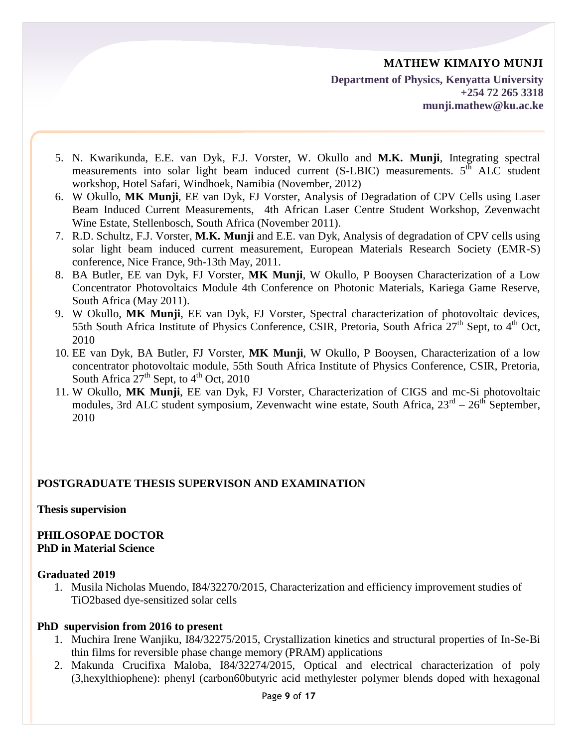**Department of Physics, Kenyatta University +254 72 265 3318 munji.mathew@ku.ac.ke**

- 5. N. Kwarikunda, E.E. van Dyk, F.J. Vorster, W. Okullo and **M.K. Munji**, Integrating spectral measurements into solar light beam induced current (S-LBIC) measurements.  $5<sup>th</sup>$  ALC student workshop, Hotel Safari, Windhoek, Namibia (November, 2012)
- 6. W Okullo, **MK Munji**, EE van Dyk, FJ Vorster, Analysis of Degradation of CPV Cells using Laser Beam Induced Current Measurements, 4th African Laser Centre Student Workshop, Zevenwacht Wine Estate, Stellenbosch, South Africa (November 2011).
- 7. R.D. Schultz, F.J. Vorster, **M.K. Munji** and E.E. van Dyk, Analysis of degradation of CPV cells using solar light beam induced current measurement, European Materials Research Society (EMR-S) conference, Nice France, 9th-13th May, 2011.
- 8. BA Butler, EE van Dyk, FJ Vorster, **MK Munji**, W Okullo, P Booysen Characterization of a Low Concentrator Photovoltaics Module 4th Conference on Photonic Materials, Kariega Game Reserve, South Africa (May 2011).
- 9. W Okullo, **MK Munji**, EE van Dyk, FJ Vorster, Spectral characterization of photovoltaic devices, 55th South Africa Institute of Physics Conference, CSIR, Pretoria, South Africa 27<sup>th</sup> Sept, to 4<sup>th</sup> Oct, 2010
- 10. EE van Dyk, BA Butler, FJ Vorster, **MK Munji**, W Okullo, P Booysen, Characterization of a low concentrator photovoltaic module, 55th South Africa Institute of Physics Conference, CSIR, Pretoria, South Africa  $27<sup>th</sup>$  Sept, to  $4<sup>th</sup>$  Oct, 2010
- 11. W Okullo, **MK Munji**, EE van Dyk, FJ Vorster, Characterization of CIGS and mc-Si photovoltaic modules, 3rd ALC student symposium, Zevenwacht wine estate, South Africa,  $23^{rd} - 26^{th}$  September, 2010

## **POSTGRADUATE THESIS SUPERVISON AND EXAMINATION**

**Thesis supervision**

#### **PHILOSOPAE DOCTOR PhD in Material Science**

#### **Graduated 2019**

1. Musila Nicholas Muendo, I84/32270/2015, Characterization and efficiency improvement studies of TiO2based dye-sensitized solar cells

## **PhD supervision from 2016 to present**

- 1. Muchira Irene Wanjiku, I84/32275/2015, Crystallization kinetics and structural properties of In-Se-Bi thin films for reversible phase change memory (PRAM) applications
- 2. Makunda Crucifixa Maloba, I84/32274/2015, Optical and electrical characterization of poly (3,hexylthiophene): phenyl (carbon60butyric acid methylester polymer blends doped with hexagonal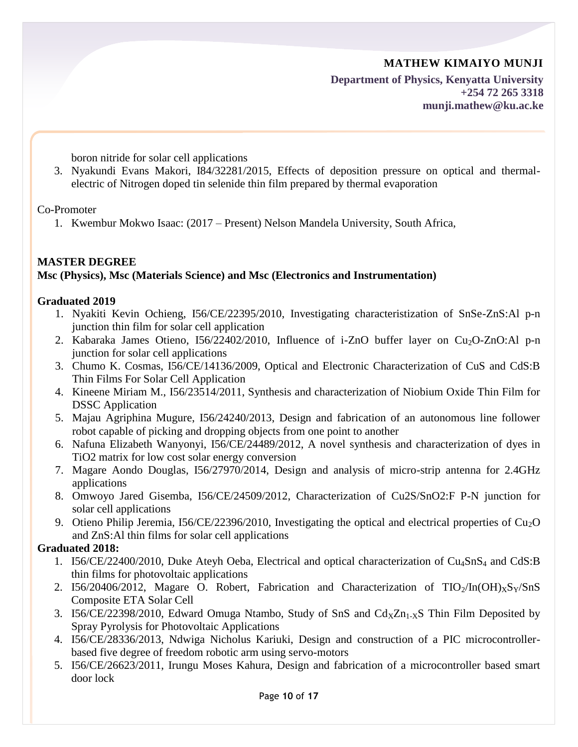**Department of Physics, Kenyatta University +254 72 265 3318 munji.mathew@ku.ac.ke**

boron nitride for solar cell applications

3. Nyakundi Evans Makori, I84/32281/2015, Effects of deposition pressure on optical and thermalelectric of Nitrogen doped tin selenide thin film prepared by thermal evaporation

Co-Promoter

1. Kwembur Mokwo Isaac: (2017 – Present) Nelson Mandela University, South Africa,

## **MASTER DEGREE Msc (Physics), Msc (Materials Science) and Msc (Electronics and Instrumentation)**

#### **Graduated 2019**

- 1. Nyakiti Kevin Ochieng, I56/CE/22395/2010, Investigating characteristization of SnSe-ZnS:Al p-n junction thin film for solar cell application
- 2. Kabaraka James Otieno,  $156/22402/2010$ , Influence of i-ZnO buffer layer on Cu<sub>2</sub>O-ZnO:Al p-n junction for solar cell applications
- 3. Chumo K. Cosmas, I56/CE/14136/2009, Optical and Electronic Characterization of CuS and CdS:B Thin Films For Solar Cell Application
- 4. Kineene Miriam M., I56/23514/2011, Synthesis and characterization of Niobium Oxide Thin Film for DSSC Application
- 5. Majau Agriphina Mugure, I56/24240/2013, Design and fabrication of an autonomous line follower robot capable of picking and dropping objects from one point to another
- 6. Nafuna Elizabeth Wanyonyi, I56/CE/24489/2012, A novel synthesis and characterization of dyes in TiO2 matrix for low cost solar energy conversion
- 7. Magare Aondo Douglas, I56/27970/2014, Design and analysis of micro-strip antenna for 2.4GHz applications
- 8. Omwoyo Jared Gisemba, I56/CE/24509/2012, Characterization of Cu2S/SnO2:F P-N junction for solar cell applications
- 9. Otieno Philip Jeremia,  $156/CE/22396/2010$ , Investigating the optical and electrical properties of Cu<sub>2</sub>O and ZnS:Al thin films for solar cell applications

#### **Graduated 2018:**

- 1. I56/CE/22400/2010, Duke Ateyh Oeba, Electrical and optical characterization of Cu4SnS<sup>4</sup> and CdS:B thin films for photovoltaic applications
- 2. I56/20406/2012, Magare O. Robert, Fabrication and Characterization of  $TIO_2/In(OH)_xS_y/SnS$ Composite ETA Solar Cell
- 3. I56/CE/22398/2010, Edward Omuga Ntambo, Study of SnS and  $Cd<sub>x</sub>Zn<sub>1-x</sub>S$  Thin Film Deposited by Spray Pyrolysis for Photovoltaic Applications
- 4. I56/CE/28336/2013, Ndwiga Nicholus Kariuki, Design and construction of a PIC microcontrollerbased five degree of freedom robotic arm using servo-motors
- 5. I56/CE/26623/2011, Irungu Moses Kahura, Design and fabrication of a microcontroller based smart door lock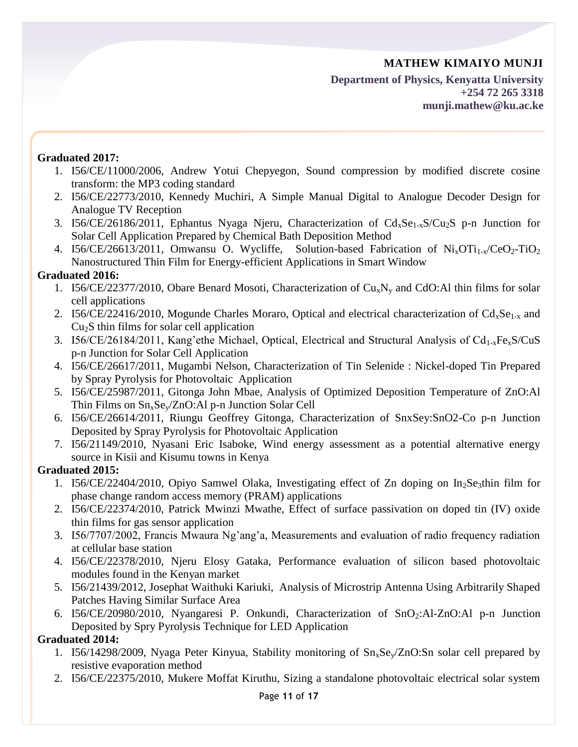**Department of Physics, Kenyatta University +254 72 265 3318 munji.mathew@ku.ac.ke**

# **Graduated 2017:**

- 1. I56/CE/11000/2006, Andrew Yotui Chepyegon, Sound compression by modified discrete cosine transform: the MP3 coding standard
- 2. I56/CE/22773/2010, Kennedy Muchiri, A Simple Manual Digital to Analogue Decoder Design for Analogue TV Reception
- 3. I56/CE/26186/2011, Ephantus Nyaga Njeru, Characterization of  $Cd_xSe_{1-x}S/Cu_2S$  p-n Junction for Solar Cell Application Prepared by Chemical Bath Deposition Method
- 4. I56/CE/26613/2011, Omwansu O. Wycliffe, Solution-based Fabrication of  $Ni_xOTi_{1-x}/CeO_2-TiO_2$ Nanostructured Thin Film for Energy-efficient Applications in Smart Window

# **Graduated 2016:**

- 1. I56/CE/22377/2010, Obare Benard Mosoti, Characterization of  $Cu_xN_y$  and CdO:Al thin films for solar cell applications
- 2. I56/CE/22416/2010, Mogunde Charles Moraro, Optical and electrical characterization of  $Cd_xSe_{1-x}$  and  $Cu<sub>2</sub>S$  thin films for solar cell application
- 3. I56/CE/26184/2011, Kang'ethe Michael, Optical, Electrical and Structural Analysis of  $Cd_{1-x}Fe_{x}S/CuS$ p-n Junction for Solar Cell Application
- 4. I56/CE/26617/2011, Mugambi Nelson, Characterization of Tin Selenide : Nickel-doped Tin Prepared by Spray Pyrolysis for Photovoltaic Application
- 5. I56/CE/25987/2011, Gitonga John Mbae, Analysis of Optimized Deposition Temperature of ZnO:Al Thin Films on  $Sn_xSe_v/ZnO:$  Al p-n Junction Solar Cell
- 6. I56/CE/26614/2011, Riungu Geoffrey Gitonga, Characterization of SnxSey:SnO2-Co p-n Junction Deposited by Spray Pyrolysis for Photovoltaic Application
- 7. I56/21149/2010, Nyasani Eric Isaboke, Wind energy assessment as a potential alternative energy source in Kisii and Kisumu towns in Kenya

# **Graduated 2015:**

- 1. I56/CE/22404/2010, Opiyo Samwel Olaka, Investigating effect of Zn doping on  $In_2S$ e<sub>3</sub>thin film for phase change random access memory (PRAM) applications
- 2. I56/CE/22374/2010, Patrick Mwinzi Mwathe, Effect of surface passivation on doped tin (IV) oxide thin films for gas sensor application
- 3. I56/7707/2002, Francis Mwaura Ng'ang'a, Measurements and evaluation of radio frequency radiation at cellular base station
- 4. I56/CE/22378/2010, Njeru Elosy Gataka, Performance evaluation of silicon based photovoltaic modules found in the Kenyan market
- 5. I56/21439/2012, Josephat Waithuki Kariuki, Analysis of Microstrip Antenna Using Arbitrarily Shaped Patches Having Similar Surface Area
- 6. I56/CE/20980/2010, Nyangaresi P. Onkundi, Characterization of SnO2:Al-ZnO:Al p-n Junction Deposited by Spry Pyrolysis Technique for LED Application

# **Graduated 2014:**

- 1. I56/14298/2009, Nyaga Peter Kinyua, Stability monitoring of  $Sn_xSe_y/ZnO:Sn$  solar cell prepared by resistive evaporation method
- 2. I56/CE/22375/2010, Mukere Moffat Kiruthu, Sizing a standalone photovoltaic electrical solar system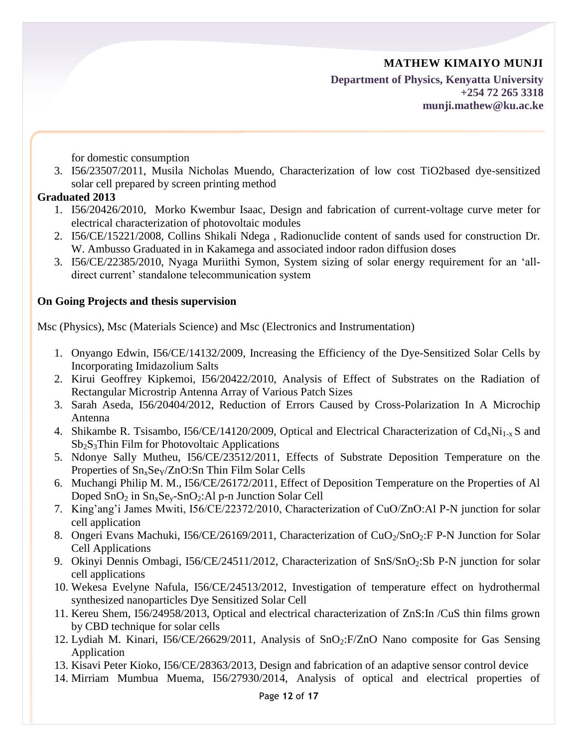**Department of Physics, Kenyatta University +254 72 265 3318 munji.mathew@ku.ac.ke**

for domestic consumption

3. I56/23507/2011, Musila Nicholas Muendo, Characterization of low cost TiO2based dye-sensitized solar cell prepared by screen printing method

#### **Graduated 2013**

- 1. I56/20426/2010, Morko Kwembur Isaac, Design and fabrication of current-voltage curve meter for electrical characterization of photovoltaic modules
- 2. I56/CE/15221/2008, Collins Shikali Ndega , Radionuclide content of sands used for construction Dr. W. Ambusso Graduated in in Kakamega and associated indoor radon diffusion doses
- 3. I56/CE/22385/2010, Nyaga Muriithi Symon, System sizing of solar energy requirement for an 'alldirect current' standalone telecommunication system

# **On Going Projects and thesis supervision**

Msc (Physics), Msc (Materials Science) and Msc (Electronics and Instrumentation)

- 1. Onyango Edwin, I56/CE/14132/2009, Increasing the Efficiency of the Dye-Sensitized Solar Cells by Incorporating Imidazolium Salts
- 2. Kirui Geoffrey Kipkemoi, I56/20422/2010, Analysis of Effect of Substrates on the Radiation of Rectangular Microstrip Antenna Array of Various Patch Sizes
- 3. Sarah Aseda, I56/20404/2012, Reduction of Errors Caused by Cross-Polarization In A Microchip Antenna
- 4. Shikambe R. Tsisambo, I56/CE/14120/2009, Optical and Electrical Characterization of  $Cd_xNi_{1-x}S$  and  $Sb<sub>2</sub>S<sub>3</sub>$ Thin Film for Photovoltaic Applications
- 5. Ndonye Sally Mutheu, I56/CE/23512/2011, Effects of Substrate Deposition Temperature on the Properties of  $Sn_xSe_y/ZnO:Sn$  Thin Film Solar Cells
- 6. Muchangi Philip M. M., I56/CE/26172/2011, Effect of Deposition Temperature on the Properties of Al Doped  $SnO<sub>2</sub>$  in  $Sn<sub>x</sub>Se<sub>v</sub>-SnO<sub>2</sub>: Al p-n Junction Solar Cell$
- 7. King'ang'i James Mwiti, I56/CE/22372/2010, Characterization of CuO/ZnO:Al P-N junction for solar cell application
- 8. Ongeri Evans Machuki, I56/CE/26169/2011, Characterization of  $CuO<sub>2</sub>/SnO<sub>2</sub>:F P-N$  Junction for Solar Cell Applications
- 9. Okinyi Dennis Ombagi, I56/CE/24511/2012, Characterization of SnS/SnO<sub>2</sub>:Sb P-N junction for solar cell applications
- 10. Wekesa Evelyne Nafula, I56/CE/24513/2012, Investigation of temperature effect on hydrothermal synthesized nanoparticles Dye Sensitized Solar Cell
- 11. Kereu Shem, I56/24958/2013, Optical and electrical characterization of ZnS:In /CuS thin films grown by CBD technique for solar cells
- 12. Lydiah M. Kinari, I56/CE/26629/2011, Analysis of SnO<sub>2</sub>:F/ZnO Nano composite for Gas Sensing Application
- 13. Kisavi Peter Kioko, I56/CE/28363/2013, Design and fabrication of an adaptive sensor control device
- 14. Mirriam Mumbua Muema, I56/27930/2014, Analysis of optical and electrical properties of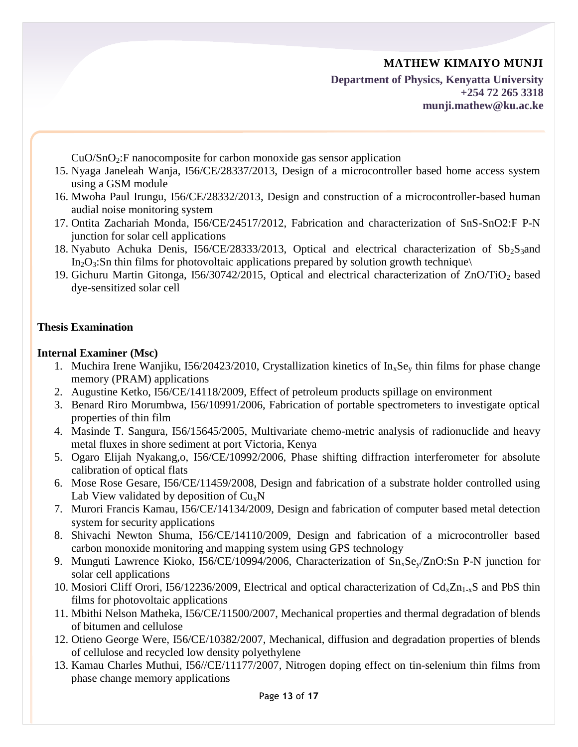**Department of Physics, Kenyatta University +254 72 265 3318 munji.mathew@ku.ac.ke**

 $CuO/SnO<sub>2</sub>:F$  nanocomposite for carbon monoxide gas sensor application

- 15. Nyaga Janeleah Wanja, I56/CE/28337/2013, Design of a microcontroller based home access system using a GSM module
- 16. Mwoha Paul Irungu, I56/CE/28332/2013, Design and construction of a microcontroller-based human audial noise monitoring system
- 17. Ontita Zachariah Monda, I56/CE/24517/2012, Fabrication and characterization of SnS-SnO2:F P-N junction for solar cell applications
- 18. Nyabuto Achuka Denis, I56/CE/28333/2013, Optical and electrical characterization of  $Sb_2S_3$  and  $In_2O_3$ :Sn thin films for photovoltaic applications prepared by solution growth technique
- 19. Gichuru Martin Gitonga, I56/30742/2015, Optical and electrical characterization of ZnO/TiO<sup>2</sup> based dye-sensitized solar cell

# **Thesis Examination**

#### **Internal Examiner (Msc)**

- 1. Muchira Irene Wanjiku, I56/20423/2010, Crystallization kinetics of  $In_xSe_y$  thin films for phase change memory (PRAM) applications
- 2. Augustine Ketko, I56/CE/14118/2009, Effect of petroleum products spillage on environment
- 3. Benard Riro Morumbwa, I56/10991/2006, Fabrication of portable spectrometers to investigate optical properties of thin film
- 4. Masinde T. Sangura, I56/15645/2005, Multivariate chemo-metric analysis of radionuclide and heavy metal fluxes in shore sediment at port Victoria, Kenya
- 5. Ogaro Elijah Nyakang,o, I56/CE/10992/2006, Phase shifting diffraction interferometer for absolute calibration of optical flats
- 6. Mose Rose Gesare, I56/CE/11459/2008, Design and fabrication of a substrate holder controlled using Lab View validated by deposition of  $Cu<sub>x</sub>N$
- 7. Murori Francis Kamau, I56/CE/14134/2009, Design and fabrication of computer based metal detection system for security applications
- 8. Shivachi Newton Shuma, I56/CE/14110/2009, Design and fabrication of a microcontroller based carbon monoxide monitoring and mapping system using GPS technology
- 9. Munguti Lawrence Kioko, I56/CE/10994/2006, Characterization of Sn<sub>x</sub>Se<sub>y</sub>/ZnO:Sn P-N junction for solar cell applications
- 10. Mosiori Cliff Orori, I56/12236/2009, Electrical and optical characterization of  $Cd<sub>x</sub>Zn<sub>1-x</sub>S$  and PbS thin films for photovoltaic applications
- 11. Mbithi Nelson Matheka, I56/CE/11500/2007, Mechanical properties and thermal degradation of blends of bitumen and cellulose
- 12. Otieno George Were, I56/CE/10382/2007, Mechanical, diffusion and degradation properties of blends of cellulose and recycled low density polyethylene
- 13. Kamau Charles Muthui, I56//CE/11177/2007, Nitrogen doping effect on tin-selenium thin films from phase change memory applications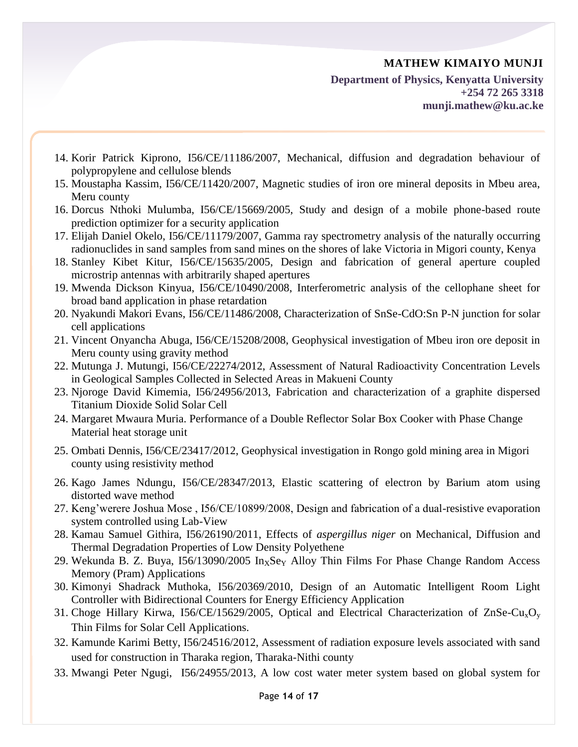**Department of Physics, Kenyatta University +254 72 265 3318 munji.mathew@ku.ac.ke**

- 14. Korir Patrick Kiprono, I56/CE/11186/2007, Mechanical, diffusion and degradation behaviour of polypropylene and cellulose blends
- 15. Moustapha Kassim, I56/CE/11420/2007, Magnetic studies of iron ore mineral deposits in Mbeu area, Meru county
- 16. Dorcus Nthoki Mulumba, I56/CE/15669/2005, Study and design of a mobile phone-based route prediction optimizer for a security application
- 17. Elijah Daniel Okelo, I56/CE/11179/2007, Gamma ray spectrometry analysis of the naturally occurring radionuclides in sand samples from sand mines on the shores of lake Victoria in Migori county, Kenya
- 18. Stanley Kibet Kitur, I56/CE/15635/2005, Design and fabrication of general aperture coupled microstrip antennas with arbitrarily shaped apertures
- 19. Mwenda Dickson Kinyua, I56/CE/10490/2008, Interferometric analysis of the cellophane sheet for broad band application in phase retardation
- 20. Nyakundi Makori Evans, I56/CE/11486/2008, Characterization of SnSe-CdO:Sn P-N junction for solar cell applications
- 21. Vincent Onyancha Abuga, I56/CE/15208/2008, Geophysical investigation of Mbeu iron ore deposit in Meru county using gravity method
- 22. Mutunga J. Mutungi, I56/CE/22274/2012, Assessment of Natural Radioactivity Concentration Levels in Geological Samples Collected in Selected Areas in Makueni County
- 23. Njoroge David Kimemia, I56/24956/2013, Fabrication and characterization of a graphite dispersed Titanium Dioxide Solid Solar Cell
- 24. Margaret Mwaura Muria. Performance of a Double Reflector Solar Box Cooker with Phase Change Material heat storage unit
- 25. Ombati Dennis, I56/CE/23417/2012, Geophysical investigation in Rongo gold mining area in Migori county using resistivity method
- 26. Kago James Ndungu, I56/CE/28347/2013, Elastic scattering of electron by Barium atom using distorted wave method
- 27. Keng'werere Joshua Mose , I56/CE/10899/2008, Design and fabrication of a dual-resistive evaporation system controlled using Lab-View
- 28. Kamau Samuel Githira, I56/26190/2011, Effects of *aspergillus niger* on Mechanical, Diffusion and Thermal Degradation Properties of Low Density Polyethene
- 29. Wekunda B. Z. Buya,  $156/13090/2005$  In<sub>x</sub>Se<sub>Y</sub> Alloy Thin Films For Phase Change Random Access Memory (Pram) Applications
- 30. Kimonyi Shadrack Muthoka, I56/20369/2010, Design of an Automatic Intelligent Room Light Controller with Bidirectional Counters for Energy Efficiency Application
- 31. Choge Hillary Kirwa, I56/CE/15629/2005, Optical and Electrical Characterization of  $ZnSe-Cu<sub>x</sub>O<sub>v</sub>$ Thin Films for Solar Cell Applications.
- 32. Kamunde Karimi Betty, I56/24516/2012, Assessment of radiation exposure levels associated with sand used for construction in Tharaka region, Tharaka-Nithi county
- 33. Mwangi Peter Ngugi, I56/24955/2013, A low cost water meter system based on global system for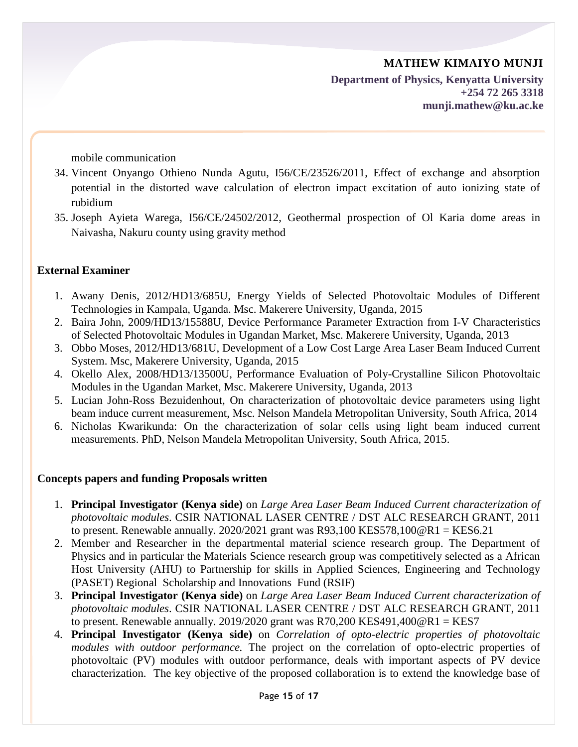**Department of Physics, Kenyatta University +254 72 265 3318 munji.mathew@ku.ac.ke**

mobile communication

- 34. Vincent Onyango Othieno Nunda Agutu, I56/CE/23526/2011, Effect of exchange and absorption potential in the distorted wave calculation of electron impact excitation of auto ionizing state of rubidium
- 35. Joseph Ayieta Warega, I56/CE/24502/2012, Geothermal prospection of Ol Karia dome areas in Naivasha, Nakuru county using gravity method

## **External Examiner**

- 1. Awany Denis, 2012/HD13/685U, Energy Yields of Selected Photovoltaic Modules of Different Technologies in Kampala, Uganda. Msc. Makerere University, Uganda, 2015
- 2. Baira John, 2009/HD13/15588U, Device Performance Parameter Extraction from I-V Characteristics of Selected Photovoltaic Modules in Ugandan Market, Msc. Makerere University, Uganda, 2013
- 3. Obbo Moses, 2012/HD13/681U, Development of a Low Cost Large Area Laser Beam Induced Current System. Msc, Makerere University, Uganda, 2015
- 4. Okello Alex, 2008/HD13/13500U, Performance Evaluation of Poly-Crystalline Silicon Photovoltaic Modules in the Ugandan Market, Msc. Makerere University, Uganda, 2013
- 5. Lucian John-Ross Bezuidenhout, On characterization of photovoltaic device parameters using light beam induce current measurement, Msc. Nelson Mandela Metropolitan University, South Africa, 2014
- 6. Nicholas Kwarikunda: On the characterization of solar cells using light beam induced current measurements. PhD, Nelson Mandela Metropolitan University, South Africa, 2015.

## **Concepts papers and funding Proposals written**

- 1. **Principal Investigator (Kenya side)** on *Large Area Laser Beam Induced Current characterization of photovoltaic modules*. CSIR NATIONAL LASER CENTRE / DST ALC RESEARCH GRANT, 2011 to present. Renewable annually.  $2020/2021$  grant was R93,100 KES578,100 @R1 = KES6.21
- 2. Member and Researcher in the departmental material science research group. The Department of Physics and in particular the Materials Science research group was competitively selected as a African Host University (AHU) to Partnership for skills in Applied Sciences, Engineering and Technology (PASET) Regional Scholarship and Innovations Fund (RSIF)
- 3. **Principal Investigator (Kenya side)** on *Large Area Laser Beam Induced Current characterization of photovoltaic modules*. CSIR NATIONAL LASER CENTRE / DST ALC RESEARCH GRANT, 2011 to present. Renewable annually. 2019/2020 grant was  $R70,200$  KES491,400 $\omega$ R1 = KES7
- 4. **Principal Investigator (Kenya side)** on *Correlation of opto-electric properties of photovoltaic modules with outdoor performance.* The project on the correlation of opto-electric properties of photovoltaic (PV) modules with outdoor performance, deals with important aspects of PV device characterization. The key objective of the proposed collaboration is to extend the knowledge base of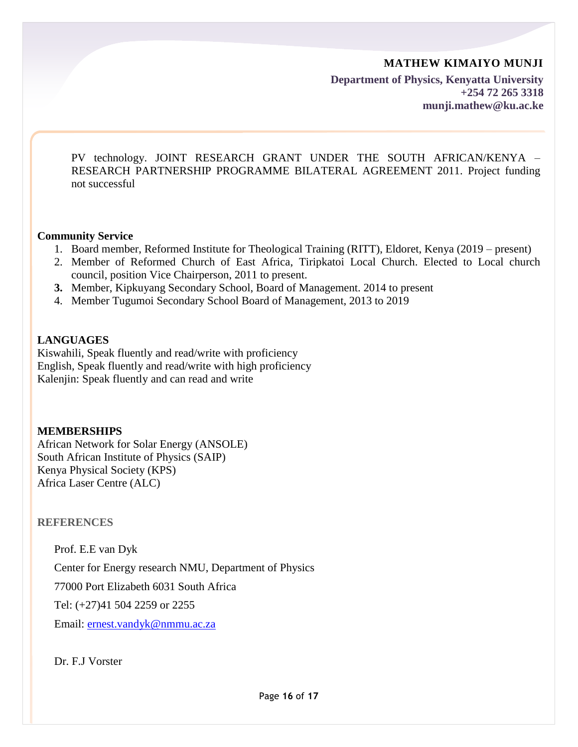**Department of Physics, Kenyatta University +254 72 265 3318 munji.mathew@ku.ac.ke**

PV technology. JOINT RESEARCH GRANT UNDER THE SOUTH AFRICAN/KENYA – RESEARCH PARTNERSHIP PROGRAMME BILATERAL AGREEMENT 2011. Project funding not successful

#### **Community Service**

- 1. Board member, Reformed Institute for Theological Training (RITT), Eldoret, Kenya (2019 present)
- 2. Member of Reformed Church of East Africa, Tiripkatoi Local Church. Elected to Local church council, position Vice Chairperson, 2011 to present.
- **3.** Member, Kipkuyang Secondary School, Board of Management. 2014 to present
- 4. Member Tugumoi Secondary School Board of Management, 2013 to 2019

#### **LANGUAGES**

Kiswahili, Speak fluently and read/write with proficiency English, Speak fluently and read/write with high proficiency Kalenjin: Speak fluently and can read and write

#### **MEMBERSHIPS**

African Network for Solar Energy (ANSOLE) South African Institute of Physics (SAIP) Kenya Physical Society (KPS) Africa Laser Centre (ALC)

**REFERENCES**

Prof. E.E van Dyk Center for Energy research NMU, Department of Physics 77000 Port Elizabeth 6031 South Africa Tel: (+27)41 504 2259 or 2255

Email: [ernest.vandyk@nmmu.ac.za](mailto:ernest.vandyk@nmmu.ac.za)

Dr. F.J Vorster